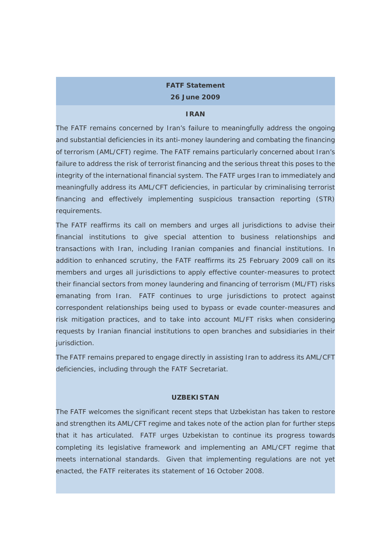# **FATF Statement 26 June 2009**

#### **IRAN**

The FATF remains concerned by Iran's failure to meaningfully address the ongoing and substantial deficiencies in its anti-money laundering and combating the financing of terrorism (AML/CFT) regime. The FATF remains particularly concerned about Iran's failure to address the risk of terrorist financing and the serious threat this poses to the integrity of the international financial system. The FATF urges Iran to immediately and meaningfully address its AML/CFT deficiencies, in particular by criminalising terrorist financing and effectively implementing suspicious transaction reporting (STR) requirements.

The FATF reaffirms its call on members and urges all jurisdictions to advise their financial institutions to give special attention to business relationships and transactions with Iran, including Iranian companies and financial institutions. In addition to enhanced scrutiny, the FATF reaffirms its 25 February 2009 call on its members and urges all jurisdictions to apply effective counter-measures to protect their financial sectors from money laundering and financing of terrorism (ML/FT) risks emanating from Iran. FATF continues to urge jurisdictions to protect against correspondent relationships being used to bypass or evade counter-measures and risk mitigation practices, and to take into account ML/FT risks when considering requests by Iranian financial institutions to open branches and subsidiaries in their jurisdiction.

The FATF remains prepared to engage directly in assisting Iran to address its AML/CFT deficiencies, including through the FATF Secretariat.

### **UZBEKISTAN**

The FATF welcomes the significant recent steps that Uzbekistan has taken to restore and strengthen its AML/CFT regime and takes note of the action plan for further steps that it has articulated. FATF urges Uzbekistan to continue its progress towards completing its legislative framework and implementing an AML/CFT regime that meets international standards. Given that implementing regulations are not yet enacted, the FATF reiterates its statement of 16 October 2008.